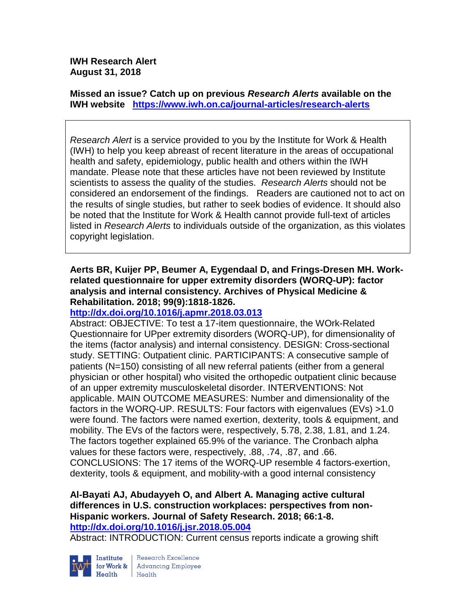**IWH Research Alert August 31, 2018**

**Missed an issue? Catch up on previous** *Research Alerts* **available on the [IWH website](http://www.iwh.on.ca/research-alerts) <https://www.iwh.on.ca/journal-articles/research-alerts>**

*Research Alert* is a service provided to you by the Institute for Work & Health (IWH) to help you keep abreast of recent literature in the areas of occupational health and safety, epidemiology, public health and others within the IWH mandate. Please note that these articles have not been reviewed by Institute scientists to assess the quality of the studies. *Research Alerts* should not be considered an endorsement of the findings. Readers are cautioned not to act on the results of single studies, but rather to seek bodies of evidence. It should also be noted that the Institute for Work & Health cannot provide full-text of articles listed in *Research Alerts* to individuals outside of the organization, as this violates copyright legislation.

# **Aerts BR, Kuijer PP, Beumer A, Eygendaal D, and Frings-Dresen MH. Workrelated questionnaire for upper extremity disorders (WORQ-UP): factor analysis and internal consistency. Archives of Physical Medicine & Rehabilitation. 2018; 99(9):1818-1826.**

**<http://dx.doi.org/10.1016/j.apmr.2018.03.013>**

Abstract: OBJECTIVE: To test a 17-item questionnaire, the WOrk-Related Questionnaire for UPper extremity disorders (WORQ-UP), for dimensionality of the items (factor analysis) and internal consistency. DESIGN: Cross-sectional study. SETTING: Outpatient clinic. PARTICIPANTS: A consecutive sample of patients (N=150) consisting of all new referral patients (either from a general physician or other hospital) who visited the orthopedic outpatient clinic because of an upper extremity musculoskeletal disorder. INTERVENTIONS: Not applicable. MAIN OUTCOME MEASURES: Number and dimensionality of the factors in the WORQ-UP. RESULTS: Four factors with eigenvalues (EVs) >1.0 were found. The factors were named exertion, dexterity, tools & equipment, and mobility. The EVs of the factors were, respectively, 5.78, 2.38, 1.81, and 1.24. The factors together explained 65.9% of the variance. The Cronbach alpha values for these factors were, respectively, .88, .74, .87, and .66. CONCLUSIONS: The 17 items of the WORQ-UP resemble 4 factors-exertion, dexterity, tools & equipment, and mobility-with a good internal consistency

### **Al-Bayati AJ, Abudayyeh O, and Albert A. Managing active cultural differences in U.S. construction workplaces: perspectives from non-Hispanic workers. Journal of Safety Research. 2018; 66:1-8. <http://dx.doi.org/10.1016/j.jsr.2018.05.004>**

Abstract: INTRODUCTION: Current census reports indicate a growing shift



Institute Research Excellence<br>
for Work & Advancing Employee<br>
Health<br>
Health Health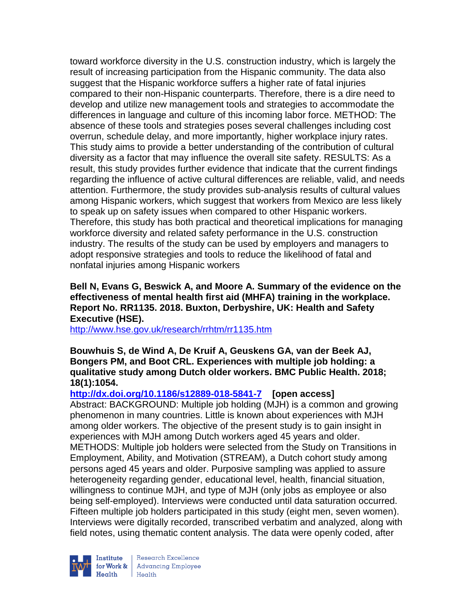toward workforce diversity in the U.S. construction industry, which is largely the result of increasing participation from the Hispanic community. The data also suggest that the Hispanic workforce suffers a higher rate of fatal injuries compared to their non-Hispanic counterparts. Therefore, there is a dire need to develop and utilize new management tools and strategies to accommodate the differences in language and culture of this incoming labor force. METHOD: The absence of these tools and strategies poses several challenges including cost overrun, schedule delay, and more importantly, higher workplace injury rates. This study aims to provide a better understanding of the contribution of cultural diversity as a factor that may influence the overall site safety. RESULTS: As a result, this study provides further evidence that indicate that the current findings regarding the influence of active cultural differences are reliable, valid, and needs attention. Furthermore, the study provides sub-analysis results of cultural values among Hispanic workers, which suggest that workers from Mexico are less likely to speak up on safety issues when compared to other Hispanic workers. Therefore, this study has both practical and theoretical implications for managing workforce diversity and related safety performance in the U.S. construction industry. The results of the study can be used by employers and managers to adopt responsive strategies and tools to reduce the likelihood of fatal and nonfatal injuries among Hispanic workers

### **Bell N, Evans G, Beswick A, and Moore A. Summary of the evidence on the effectiveness of mental health first aid (MHFA) training in the workplace. Report No. RR1135. 2018. Buxton, Derbyshire, UK: Health and Safety Executive (HSE).**

<http://www.hse.gov.uk/research/rrhtm/rr1135.htm>

**Bouwhuis S, de Wind A, De Kruif A, Geuskens GA, van der Beek AJ, Bongers PM, and Boot CRL. Experiences with multiple job holding: a qualitative study among Dutch older workers. BMC Public Health. 2018; 18(1):1054.**

#### **<http://dx.doi.org/10.1186/s12889-018-5841-7>[open access]**

Abstract: BACKGROUND: Multiple job holding (MJH) is a common and growing phenomenon in many countries. Little is known about experiences with MJH among older workers. The objective of the present study is to gain insight in experiences with MJH among Dutch workers aged 45 years and older. METHODS: Multiple job holders were selected from the Study on Transitions in Employment, Ability, and Motivation (STREAM), a Dutch cohort study among persons aged 45 years and older. Purposive sampling was applied to assure heterogeneity regarding gender, educational level, health, financial situation, willingness to continue MJH, and type of MJH (only jobs as employee or also being self-employed). Interviews were conducted until data saturation occurred. Fifteen multiple job holders participated in this study (eight men, seven women). Interviews were digitally recorded, transcribed verbatim and analyzed, along with field notes, using thematic content analysis. The data were openly coded, after



Research Excellence for Work & | Advancing Employee Health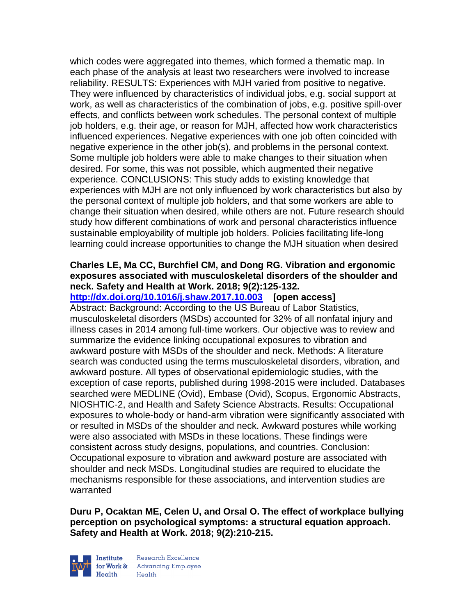which codes were aggregated into themes, which formed a thematic map. In each phase of the analysis at least two researchers were involved to increase reliability. RESULTS: Experiences with MJH varied from positive to negative. They were influenced by characteristics of individual jobs, e.g. social support at work, as well as characteristics of the combination of jobs, e.g. positive spill-over effects, and conflicts between work schedules. The personal context of multiple job holders, e.g. their age, or reason for MJH, affected how work characteristics influenced experiences. Negative experiences with one job often coincided with negative experience in the other job(s), and problems in the personal context. Some multiple job holders were able to make changes to their situation when desired. For some, this was not possible, which augmented their negative experience. CONCLUSIONS: This study adds to existing knowledge that experiences with MJH are not only influenced by work characteristics but also by the personal context of multiple job holders, and that some workers are able to change their situation when desired, while others are not. Future research should study how different combinations of work and personal characteristics influence sustainable employability of multiple job holders. Policies facilitating life-long learning could increase opportunities to change the MJH situation when desired

## **Charles LE, Ma CC, Burchfiel CM, and Dong RG. Vibration and ergonomic exposures associated with musculoskeletal disorders of the shoulder and neck. Safety and Health at Work. 2018; 9(2):125-132.**

**<http://dx.doi.org/10.1016/j.shaw.2017.10.003>[open access]** Abstract: Background: According to the US Bureau of Labor Statistics, musculoskeletal disorders (MSDs) accounted for 32% of all nonfatal injury and illness cases in 2014 among full-time workers. Our objective was to review and summarize the evidence linking occupational exposures to vibration and awkward posture with MSDs of the shoulder and neck. Methods: A literature search was conducted using the terms musculoskeletal disorders, vibration, and awkward posture. All types of observational epidemiologic studies, with the exception of case reports, published during 1998-2015 were included. Databases searched were MEDLINE (Ovid), Embase (Ovid), Scopus, Ergonomic Abstracts, NIOSHTIC-2, and Health and Safety Science Abstracts. Results: Occupational exposures to whole-body or hand-arm vibration were significantly associated with or resulted in MSDs of the shoulder and neck. Awkward postures while working were also associated with MSDs in these locations. These findings were consistent across study designs, populations, and countries. Conclusion: Occupational exposure to vibration and awkward posture are associated with shoulder and neck MSDs. Longitudinal studies are required to elucidate the mechanisms responsible for these associations, and intervention studies are warranted

**Duru P, Ocaktan ME, Celen U, and Orsal O. The effect of workplace bullying perception on psychological symptoms: a structural equation approach. Safety and Health at Work. 2018; 9(2):210-215.** 



Research Excellence Institute<br>
for Work &<br>
Advancing Employee<br>
Health<br>
Health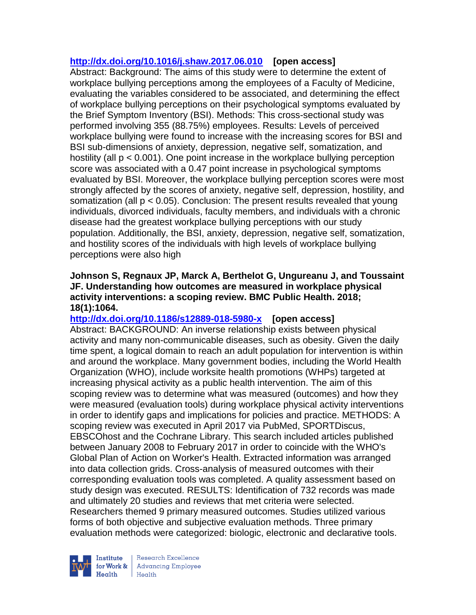# **<http://dx.doi.org/10.1016/j.shaw.2017.06.010>[open access]**

Abstract: Background: The aims of this study were to determine the extent of workplace bullying perceptions among the employees of a Faculty of Medicine, evaluating the variables considered to be associated, and determining the effect of workplace bullying perceptions on their psychological symptoms evaluated by the Brief Symptom Inventory (BSI). Methods: This cross-sectional study was performed involving 355 (88.75%) employees. Results: Levels of perceived workplace bullying were found to increase with the increasing scores for BSI and BSI sub-dimensions of anxiety, depression, negative self, somatization, and hostility (all  $p < 0.001$ ). One point increase in the workplace bullying perception score was associated with a 0.47 point increase in psychological symptoms evaluated by BSI. Moreover, the workplace bullying perception scores were most strongly affected by the scores of anxiety, negative self, depression, hostility, and somatization (all p < 0.05). Conclusion: The present results revealed that young individuals, divorced individuals, faculty members, and individuals with a chronic disease had the greatest workplace bullying perceptions with our study population. Additionally, the BSI, anxiety, depression, negative self, somatization, and hostility scores of the individuals with high levels of workplace bullying perceptions were also high

### **Johnson S, Regnaux JP, Marck A, Berthelot G, Ungureanu J, and Toussaint JF. Understanding how outcomes are measured in workplace physical activity interventions: a scoping review. BMC Public Health. 2018; 18(1):1064.**

**<http://dx.doi.org/10.1186/s12889-018-5980-x>[open access]** Abstract: BACKGROUND: An inverse relationship exists between physical activity and many non-communicable diseases, such as obesity. Given the daily time spent, a logical domain to reach an adult population for intervention is within and around the workplace. Many government bodies, including the World Health Organization (WHO), include worksite health promotions (WHPs) targeted at increasing physical activity as a public health intervention. The aim of this scoping review was to determine what was measured (outcomes) and how they were measured (evaluation tools) during workplace physical activity interventions in order to identify gaps and implications for policies and practice. METHODS: A scoping review was executed in April 2017 via PubMed, SPORTDiscus, EBSCOhost and the Cochrane Library. This search included articles published between January 2008 to February 2017 in order to coincide with the WHO's Global Plan of Action on Worker's Health. Extracted information was arranged into data collection grids. Cross-analysis of measured outcomes with their corresponding evaluation tools was completed. A quality assessment based on study design was executed. RESULTS: Identification of 732 records was made and ultimately 20 studies and reviews that met criteria were selected. Researchers themed 9 primary measured outcomes. Studies utilized various forms of both objective and subjective evaluation methods. Three primary evaluation methods were categorized: biologic, electronic and declarative tools.



Research Excellence for Work & | Advancing Employee Health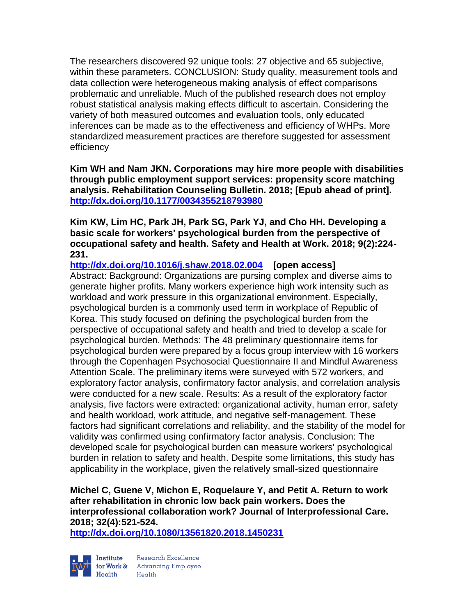The researchers discovered 92 unique tools: 27 objective and 65 subjective, within these parameters. CONCLUSION: Study quality, measurement tools and data collection were heterogeneous making analysis of effect comparisons problematic and unreliable. Much of the published research does not employ robust statistical analysis making effects difficult to ascertain. Considering the variety of both measured outcomes and evaluation tools, only educated inferences can be made as to the effectiveness and efficiency of WHPs. More standardized measurement practices are therefore suggested for assessment efficiency

**Kim WH and Nam JKN. Corporations may hire more people with disabilities through public employment support services: propensity score matching analysis. Rehabilitation Counseling Bulletin. 2018; [Epub ahead of print]. <http://dx.doi.org/10.1177/0034355218793980>**

**Kim KW, Lim HC, Park JH, Park SG, Park YJ, and Cho HH. Developing a basic scale for workers' psychological burden from the perspective of occupational safety and health. Safety and Health at Work. 2018; 9(2):224- 231.** 

**<http://dx.doi.org/10.1016/j.shaw.2018.02.004>[open access]**

Abstract: Background: Organizations are pursing complex and diverse aims to generate higher profits. Many workers experience high work intensity such as workload and work pressure in this organizational environment. Especially, psychological burden is a commonly used term in workplace of Republic of Korea. This study focused on defining the psychological burden from the perspective of occupational safety and health and tried to develop a scale for psychological burden. Methods: The 48 preliminary questionnaire items for psychological burden were prepared by a focus group interview with 16 workers through the Copenhagen Psychosocial Questionnaire II and Mindful Awareness Attention Scale. The preliminary items were surveyed with 572 workers, and exploratory factor analysis, confirmatory factor analysis, and correlation analysis were conducted for a new scale. Results: As a result of the exploratory factor analysis, five factors were extracted: organizational activity, human error, safety and health workload, work attitude, and negative self-management. These factors had significant correlations and reliability, and the stability of the model for validity was confirmed using confirmatory factor analysis. Conclusion: The developed scale for psychological burden can measure workers' psychological burden in relation to safety and health. Despite some limitations, this study has applicability in the workplace, given the relatively small-sized questionnaire

**Michel C, Guene V, Michon E, Roquelaure Y, and Petit A. Return to work after rehabilitation in chronic low back pain workers. Does the interprofessional collaboration work? Journal of Interprofessional Care. 2018; 32(4):521-524.** 

**<http://dx.doi.org/10.1080/13561820.2018.1450231>**



Institute Research Excellence<br> **Fractional Employee Health** Health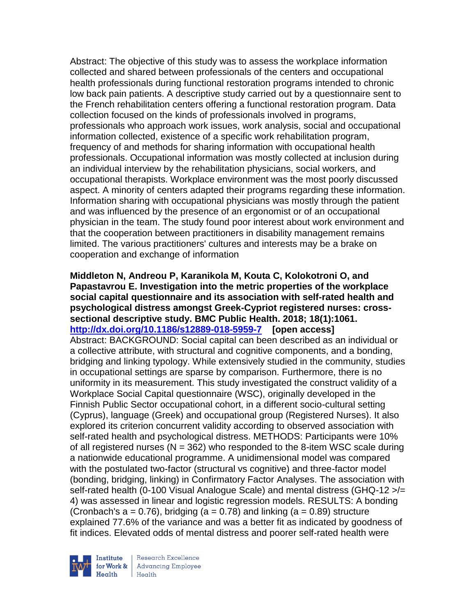Abstract: The objective of this study was to assess the workplace information collected and shared between professionals of the centers and occupational health professionals during functional restoration programs intended to chronic low back pain patients. A descriptive study carried out by a questionnaire sent to the French rehabilitation centers offering a functional restoration program. Data collection focused on the kinds of professionals involved in programs, professionals who approach work issues, work analysis, social and occupational information collected, existence of a specific work rehabilitation program, frequency of and methods for sharing information with occupational health professionals. Occupational information was mostly collected at inclusion during an individual interview by the rehabilitation physicians, social workers, and occupational therapists. Workplace environment was the most poorly discussed aspect. A minority of centers adapted their programs regarding these information. Information sharing with occupational physicians was mostly through the patient and was influenced by the presence of an ergonomist or of an occupational physician in the team. The study found poor interest about work environment and that the cooperation between practitioners in disability management remains limited. The various practitioners' cultures and interests may be a brake on cooperation and exchange of information

### **Middleton N, Andreou P, Karanikola M, Kouta C, Kolokotroni O, and Papastavrou E. Investigation into the metric properties of the workplace social capital questionnaire and its association with self-rated health and psychological distress amongst Greek-Cypriot registered nurses: crosssectional descriptive study. BMC Public Health. 2018; 18(1):1061. <http://dx.doi.org/10.1186/s12889-018-5959-7>[open access]**

Abstract: BACKGROUND: Social capital can been described as an individual or a collective attribute, with structural and cognitive components, and a bonding, bridging and linking typology. While extensively studied in the community, studies in occupational settings are sparse by comparison. Furthermore, there is no uniformity in its measurement. This study investigated the construct validity of a Workplace Social Capital questionnaire (WSC), originally developed in the Finnish Public Sector occupational cohort, in a different socio-cultural setting (Cyprus), language (Greek) and occupational group (Registered Nurses). It also explored its criterion concurrent validity according to observed association with self-rated health and psychological distress. METHODS: Participants were 10% of all registered nurses ( $N = 362$ ) who responded to the 8-item WSC scale during a nationwide educational programme. A unidimensional model was compared with the postulated two-factor (structural vs cognitive) and three-factor model (bonding, bridging, linking) in Confirmatory Factor Analyses. The association with self-rated health (0-100 Visual Analogue Scale) and mental distress (GHQ-12 >/= 4) was assessed in linear and logistic regression models. RESULTS: A bonding (Cronbach's  $a = 0.76$ ), bridging ( $a = 0.78$ ) and linking ( $a = 0.89$ ) structure explained 77.6% of the variance and was a better fit as indicated by goodness of fit indices. Elevated odds of mental distress and poorer self-rated health were



Research Excellence for Work & | Advancing Employee  $H_{\text{each}}$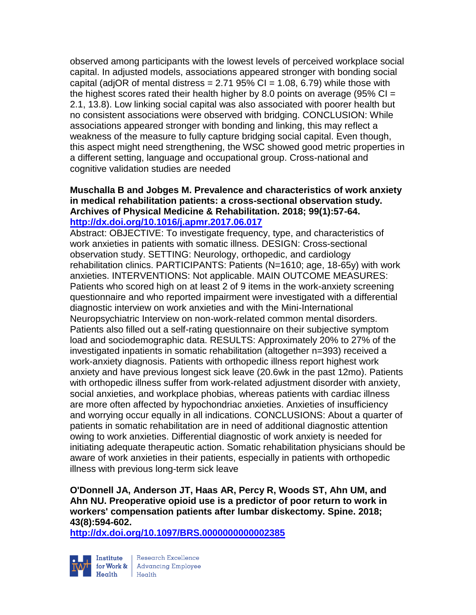observed among participants with the lowest levels of perceived workplace social capital. In adjusted models, associations appeared stronger with bonding social capital (adjOR of mental distress =  $2.71$  95% CI =  $1.08$ , 6.79) while those with the highest scores rated their health higher by 8.0 points on average (95%  $CI =$ 2.1, 13.8). Low linking social capital was also associated with poorer health but no consistent associations were observed with bridging. CONCLUSION: While associations appeared stronger with bonding and linking, this may reflect a weakness of the measure to fully capture bridging social capital. Even though, this aspect might need strengthening, the WSC showed good metric properties in a different setting, language and occupational group. Cross-national and cognitive validation studies are needed

### **Muschalla B and Jobges M. Prevalence and characteristics of work anxiety in medical rehabilitation patients: a cross-sectional observation study. Archives of Physical Medicine & Rehabilitation. 2018; 99(1):57-64. <http://dx.doi.org/10.1016/j.apmr.2017.06.017>**

Abstract: OBJECTIVE: To investigate frequency, type, and characteristics of work anxieties in patients with somatic illness. DESIGN: Cross-sectional observation study. SETTING: Neurology, orthopedic, and cardiology rehabilitation clinics. PARTICIPANTS: Patients (N=1610; age, 18-65y) with work anxieties. INTERVENTIONS: Not applicable. MAIN OUTCOME MEASURES: Patients who scored high on at least 2 of 9 items in the work-anxiety screening questionnaire and who reported impairment were investigated with a differential diagnostic interview on work anxieties and with the Mini-International Neuropsychiatric Interview on non-work-related common mental disorders. Patients also filled out a self-rating questionnaire on their subjective symptom load and sociodemographic data. RESULTS: Approximately 20% to 27% of the investigated inpatients in somatic rehabilitation (altogether n=393) received a work-anxiety diagnosis. Patients with orthopedic illness report highest work anxiety and have previous longest sick leave (20.6wk in the past 12mo). Patients with orthopedic illness suffer from work-related adjustment disorder with anxiety, social anxieties, and workplace phobias, whereas patients with cardiac illness are more often affected by hypochondriac anxieties. Anxieties of insufficiency and worrying occur equally in all indications. CONCLUSIONS: About a quarter of patients in somatic rehabilitation are in need of additional diagnostic attention owing to work anxieties. Differential diagnostic of work anxiety is needed for initiating adequate therapeutic action. Somatic rehabilitation physicians should be aware of work anxieties in their patients, especially in patients with orthopedic illness with previous long-term sick leave

**O'Donnell JA, Anderson JT, Haas AR, Percy R, Woods ST, Ahn UM, and Ahn NU. Preoperative opioid use is a predictor of poor return to work in workers' compensation patients after lumbar diskectomy. Spine. 2018; 43(8):594-602.** 

**<http://dx.doi.org/10.1097/BRS.0000000000002385>**



Institute Research Excellence<br>
for Work & Advancing Employee<br>
Health Health Health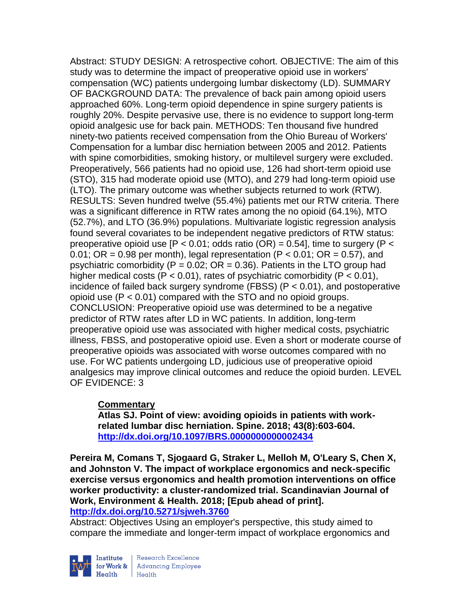Abstract: STUDY DESIGN: A retrospective cohort. OBJECTIVE: The aim of this study was to determine the impact of preoperative opioid use in workers' compensation (WC) patients undergoing lumbar diskectomy (LD). SUMMARY OF BACKGROUND DATA: The prevalence of back pain among opioid users approached 60%. Long-term opioid dependence in spine surgery patients is roughly 20%. Despite pervasive use, there is no evidence to support long-term opioid analgesic use for back pain. METHODS: Ten thousand five hundred ninety-two patients received compensation from the Ohio Bureau of Workers' Compensation for a lumbar disc herniation between 2005 and 2012. Patients with spine comorbidities, smoking history, or multilevel surgery were excluded. Preoperatively, 566 patients had no opioid use, 126 had short-term opioid use (STO), 315 had moderate opioid use (MTO), and 279 had long-term opioid use (LTO). The primary outcome was whether subjects returned to work (RTW). RESULTS: Seven hundred twelve (55.4%) patients met our RTW criteria. There was a significant difference in RTW rates among the no opioid (64.1%), MTO (52.7%), and LTO (36.9%) populations. Multivariate logistic regression analysis found several covariates to be independent negative predictors of RTW status: preoperative opioid use  $[*P* < 0.01$ ; odds ratio  $(OR) = 0.54$ ], time to surgery  $(P <$ 0.01; OR = 0.98 per month), legal representation (P < 0.01; OR = 0.57), and psychiatric comorbidity ( $P = 0.02$ ;  $OR = 0.36$ ). Patients in the LTO group had higher medical costs ( $P < 0.01$ ), rates of psychiatric comorbidity ( $P < 0.01$ ), incidence of failed back surgery syndrome (FBSS) (P < 0.01), and postoperative opioid use (P < 0.01) compared with the STO and no opioid groups. CONCLUSION: Preoperative opioid use was determined to be a negative predictor of RTW rates after LD in WC patients. In addition, long-term preoperative opioid use was associated with higher medical costs, psychiatric illness, FBSS, and postoperative opioid use. Even a short or moderate course of preoperative opioids was associated with worse outcomes compared with no use. For WC patients undergoing LD, judicious use of preoperative opioid analgesics may improve clinical outcomes and reduce the opioid burden. LEVEL OF EVIDENCE: 3

# **Commentary**

**Atlas SJ. Point of view: avoiding opioids in patients with workrelated lumbar disc herniation. Spine. 2018; 43(8):603-604. <http://dx.doi.org/10.1097/BRS.0000000000002434>**

**Pereira M, Comans T, Sjogaard G, Straker L, Melloh M, O'Leary S, Chen X, and Johnston V. The impact of workplace ergonomics and neck-specific exercise versus ergonomics and health promotion interventions on office worker productivity: a cluster-randomized trial. Scandinavian Journal of Work, Environment & Health. 2018; [Epub ahead of print].**

# **<http://dx.doi.org/10.5271/sjweh.3760>**

Abstract: Objectives Using an employer's perspective, this study aimed to compare the immediate and longer-term impact of workplace ergonomics and

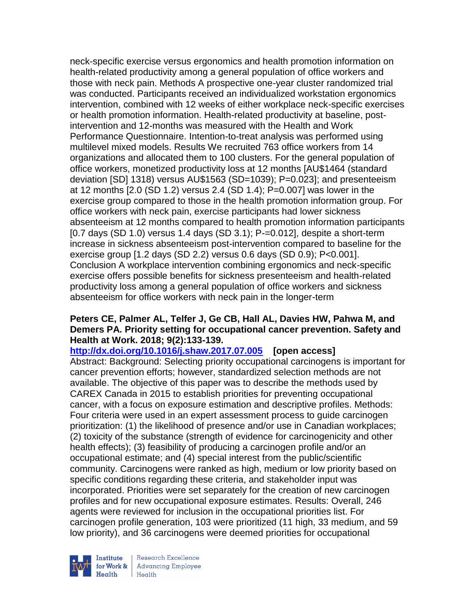neck-specific exercise versus ergonomics and health promotion information on health-related productivity among a general population of office workers and those with neck pain. Methods A prospective one-year cluster randomized trial was conducted. Participants received an individualized workstation ergonomics intervention, combined with 12 weeks of either workplace neck-specific exercises or health promotion information. Health-related productivity at baseline, postintervention and 12-months was measured with the Health and Work Performance Questionnaire. Intention-to-treat analysis was performed using multilevel mixed models. Results We recruited 763 office workers from 14 organizations and allocated them to 100 clusters. For the general population of office workers, monetized productivity loss at 12 months [AU\$1464 (standard deviation [SD] 1318) versus AU\$1563 (SD=1039); P=0.023]; and presenteeism at 12 months [2.0 (SD 1.2) versus 2.4 (SD 1.4); P=0.007] was lower in the exercise group compared to those in the health promotion information group. For office workers with neck pain, exercise participants had lower sickness absenteeism at 12 months compared to health promotion information participants [0.7 days (SD 1.0) versus 1.4 days (SD 3.1); P-=0.012], despite a short-term increase in sickness absenteeism post-intervention compared to baseline for the exercise group [1.2 days (SD 2.2) versus 0.6 days (SD 0.9); P<0.001]. Conclusion A workplace intervention combining ergonomics and neck-specific exercise offers possible benefits for sickness presenteeism and health-related productivity loss among a general population of office workers and sickness absenteeism for office workers with neck pain in the longer-term

## **Peters CE, Palmer AL, Telfer J, Ge CB, Hall AL, Davies HW, Pahwa M, and Demers PA. Priority setting for occupational cancer prevention. Safety and Health at Work. 2018; 9(2):133-139.**

### **<http://dx.doi.org/10.1016/j.shaw.2017.07.005>[open access]**

Abstract: Background: Selecting priority occupational carcinogens is important for cancer prevention efforts; however, standardized selection methods are not available. The objective of this paper was to describe the methods used by CAREX Canada in 2015 to establish priorities for preventing occupational cancer, with a focus on exposure estimation and descriptive profiles. Methods: Four criteria were used in an expert assessment process to guide carcinogen prioritization: (1) the likelihood of presence and/or use in Canadian workplaces; (2) toxicity of the substance (strength of evidence for carcinogenicity and other health effects); (3) feasibility of producing a carcinogen profile and/or an occupational estimate; and (4) special interest from the public/scientific community. Carcinogens were ranked as high, medium or low priority based on specific conditions regarding these criteria, and stakeholder input was incorporated. Priorities were set separately for the creation of new carcinogen profiles and for new occupational exposure estimates. Results: Overall, 246 agents were reviewed for inclusion in the occupational priorities list. For carcinogen profile generation, 103 were prioritized (11 high, 33 medium, and 59 low priority), and 36 carcinogens were deemed priorities for occupational



Research Excellence for Work & | Advancing Employee  $H_{\text{each}}$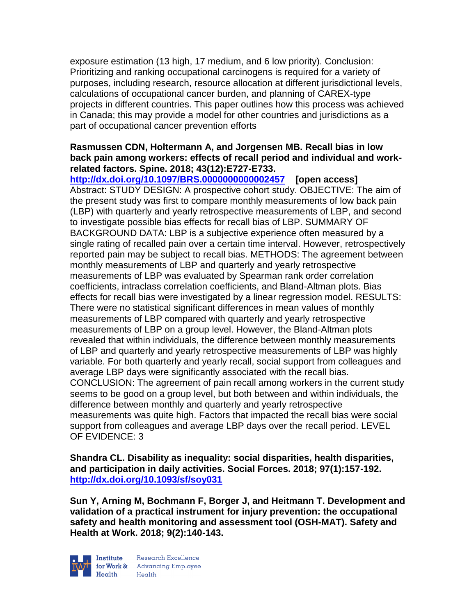exposure estimation (13 high, 17 medium, and 6 low priority). Conclusion: Prioritizing and ranking occupational carcinogens is required for a variety of purposes, including research, resource allocation at different jurisdictional levels, calculations of occupational cancer burden, and planning of CAREX-type projects in different countries. This paper outlines how this process was achieved in Canada; this may provide a model for other countries and jurisdictions as a part of occupational cancer prevention efforts

### **Rasmussen CDN, Holtermann A, and Jorgensen MB. Recall bias in low back pain among workers: effects of recall period and individual and workrelated factors. Spine. 2018; 43(12):E727-E733.**

**<http://dx.doi.org/10.1097/BRS.0000000000002457>[open access]** Abstract: STUDY DESIGN: A prospective cohort study. OBJECTIVE: The aim of the present study was first to compare monthly measurements of low back pain (LBP) with quarterly and yearly retrospective measurements of LBP, and second to investigate possible bias effects for recall bias of LBP. SUMMARY OF BACKGROUND DATA: LBP is a subjective experience often measured by a single rating of recalled pain over a certain time interval. However, retrospectively reported pain may be subject to recall bias. METHODS: The agreement between monthly measurements of LBP and quarterly and yearly retrospective measurements of LBP was evaluated by Spearman rank order correlation coefficients, intraclass correlation coefficients, and Bland-Altman plots. Bias effects for recall bias were investigated by a linear regression model. RESULTS: There were no statistical significant differences in mean values of monthly measurements of LBP compared with quarterly and yearly retrospective measurements of LBP on a group level. However, the Bland-Altman plots revealed that within individuals, the difference between monthly measurements of LBP and quarterly and yearly retrospective measurements of LBP was highly variable. For both quarterly and yearly recall, social support from colleagues and average LBP days were significantly associated with the recall bias. CONCLUSION: The agreement of pain recall among workers in the current study seems to be good on a group level, but both between and within individuals, the difference between monthly and quarterly and yearly retrospective measurements was quite high. Factors that impacted the recall bias were social support from colleagues and average LBP days over the recall period. LEVEL OF EVIDENCE: 3

**Shandra CL. Disability as inequality: social disparities, health disparities, and participation in daily activities. Social Forces. 2018; 97(1):157-192. <http://dx.doi.org/10.1093/sf/soy031>**

**Sun Y, Arning M, Bochmann F, Borger J, and Heitmann T. Development and validation of a practical instrument for injury prevention: the occupational safety and health monitoring and assessment tool (OSH-MAT). Safety and Health at Work. 2018; 9(2):140-143.** 



Research Excellence for Work & Advancing Employee<br>Health Health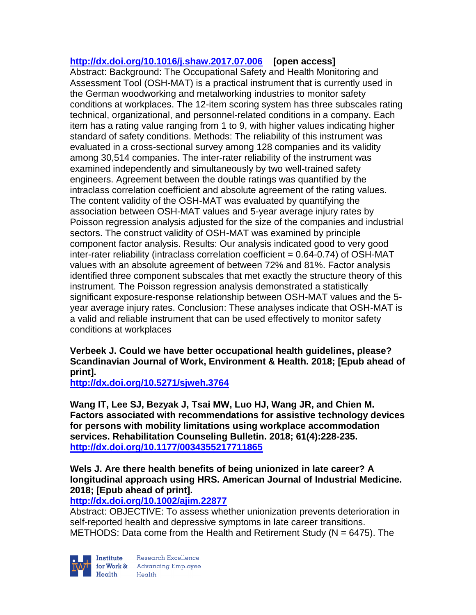# **<http://dx.doi.org/10.1016/j.shaw.2017.07.006>[open access]**

Abstract: Background: The Occupational Safety and Health Monitoring and Assessment Tool (OSH-MAT) is a practical instrument that is currently used in the German woodworking and metalworking industries to monitor safety conditions at workplaces. The 12-item scoring system has three subscales rating technical, organizational, and personnel-related conditions in a company. Each item has a rating value ranging from 1 to 9, with higher values indicating higher standard of safety conditions. Methods: The reliability of this instrument was evaluated in a cross-sectional survey among 128 companies and its validity among 30,514 companies. The inter-rater reliability of the instrument was examined independently and simultaneously by two well-trained safety engineers. Agreement between the double ratings was quantified by the intraclass correlation coefficient and absolute agreement of the rating values. The content validity of the OSH-MAT was evaluated by quantifying the association between OSH-MAT values and 5-year average injury rates by Poisson regression analysis adjusted for the size of the companies and industrial sectors. The construct validity of OSH-MAT was examined by principle component factor analysis. Results: Our analysis indicated good to very good inter-rater reliability (intraclass correlation coefficient  $= 0.64 - 0.74$ ) of OSH-MAT values with an absolute agreement of between 72% and 81%. Factor analysis identified three component subscales that met exactly the structure theory of this instrument. The Poisson regression analysis demonstrated a statistically significant exposure-response relationship between OSH-MAT values and the 5 year average injury rates. Conclusion: These analyses indicate that OSH-MAT is a valid and reliable instrument that can be used effectively to monitor safety conditions at workplaces

**Verbeek J. Could we have better occupational health guidelines, please? Scandinavian Journal of Work, Environment & Health. 2018; [Epub ahead of print].**

**<http://dx.doi.org/10.5271/sjweh.3764>**

**Wang IT, Lee SJ, Bezyak J, Tsai MW, Luo HJ, Wang JR, and Chien M. Factors associated with recommendations for assistive technology devices for persons with mobility limitations using workplace accommodation services. Rehabilitation Counseling Bulletin. 2018; 61(4):228-235. <http://dx.doi.org/10.1177/0034355217711865>**

## **Wels J. Are there health benefits of being unionized in late career? A longitudinal approach using HRS. American Journal of Industrial Medicine. 2018; [Epub ahead of print].**

# **<http://dx.doi.org/10.1002/ajim.22877>**

Abstract: OBJECTIVE: To assess whether unionization prevents deterioration in self-reported health and depressive symptoms in late career transitions. METHODS: Data come from the Health and Retirement Study ( $N = 6475$ ). The



Research Excellence Finantium Research Excellence<br>
Finantium Research Employee<br>
Realth Health